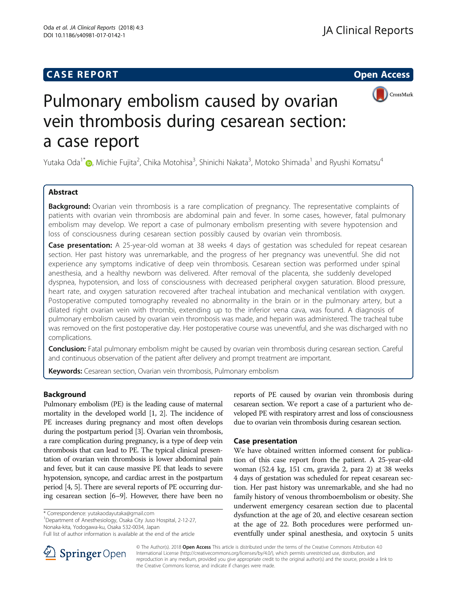## **CASE REPORT CASE REPORT CASE REPORT**



# Pulmonary embolism caused by ovarian vein thrombosis during cesarean section: a case report

Yutaka Oda<sup>1[\\*](http://orcid.org/0000-0002-1111-7162)</sup>�, Michie Fujita<sup>2</sup>, Chika Motohisa<sup>3</sup>, Shinichi Nakata<sup>3</sup>, Motoko Shimada<sup>1</sup> and Ryushi Komatsu<sup>4</sup>

## Abstract

**Background:** Ovarian vein thrombosis is a rare complication of pregnancy. The representative complaints of patients with ovarian vein thrombosis are abdominal pain and fever. In some cases, however, fatal pulmonary embolism may develop. We report a case of pulmonary embolism presenting with severe hypotension and loss of consciousness during cesarean section possibly caused by ovarian vein thrombosis.

Case presentation: A 25-year-old woman at 38 weeks 4 days of gestation was scheduled for repeat cesarean section. Her past history was unremarkable, and the progress of her pregnancy was uneventful. She did not experience any symptoms indicative of deep vein thrombosis. Cesarean section was performed under spinal anesthesia, and a healthy newborn was delivered. After removal of the placenta, she suddenly developed dyspnea, hypotension, and loss of consciousness with decreased peripheral oxygen saturation. Blood pressure, heart rate, and oxygen saturation recovered after tracheal intubation and mechanical ventilation with oxygen. Postoperative computed tomography revealed no abnormality in the brain or in the pulmonary artery, but a dilated right ovarian vein with thrombi, extending up to the inferior vena cava, was found. A diagnosis of pulmonary embolism caused by ovarian vein thrombosis was made, and heparin was administered. The tracheal tube was removed on the first postoperative day. Her postoperative course was uneventful, and she was discharged with no complications.

**Conclusion:** Fatal pulmonary embolism might be caused by ovarian vein thrombosis during cesarean section. Careful and continuous observation of the patient after delivery and prompt treatment are important.

Keywords: Cesarean section, Ovarian vein thrombosis, Pulmonary embolism

## Background

Pulmonary embolism (PE) is the leading cause of maternal mortality in the developed world [\[1](#page-3-0), [2\]](#page-3-0). The incidence of PE increases during pregnancy and most often develops during the postpartum period [\[3\]](#page-3-0). Ovarian vein thrombosis, a rare complication during pregnancy, is a type of deep vein thrombosis that can lead to PE. The typical clinical presentation of ovarian vein thrombosis is lower abdominal pain and fever, but it can cause massive PE that leads to severe hypotension, syncope, and cardiac arrest in the postpartum period [\[4](#page-3-0), [5\]](#page-3-0). There are several reports of PE occurring during cesarean section [[6](#page-3-0)–[9\]](#page-3-0). However, there have been no

\* Correspondence: [yutakaodayutaka@gmail.com](mailto:yutakaodayutaka@gmail.com) <sup>1</sup>

<sup>1</sup>Department of Anesthesiology, Osaka City Juso Hospital, 2-12-27, Nonaka-kita, Yodogawa-ku, Osaka 532-0034, Japan

reports of PE caused by ovarian vein thrombosis during cesarean section. We report a case of a parturient who developed PE with respiratory arrest and loss of consciousness due to ovarian vein thrombosis during cesarean section.

### Case presentation

We have obtained written informed consent for publication of this case report from the patient. A 25-year-old woman (52.4 kg, 151 cm, gravida 2, para 2) at 38 weeks 4 days of gestation was scheduled for repeat cesarean section. Her past history was unremarkable, and she had no family history of venous thromboembolism or obesity. She underwent emergency cesarean section due to placental dysfunction at the age of 20, and elective cesarean section at the age of 22. Both procedures were performed uneventfully under spinal anesthesia, and oxytocin 5 units



© The Author(s). 2018 Open Access This article is distributed under the terms of the Creative Commons Attribution 4.0 International License ([http://creativecommons.org/licenses/by/4.0/\)](http://creativecommons.org/licenses/by/4.0/), which permits unrestricted use, distribution, and reproduction in any medium, provided you give appropriate credit to the original author(s) and the source, provide a link to the Creative Commons license, and indicate if changes were made.

Full list of author information is available at the end of the article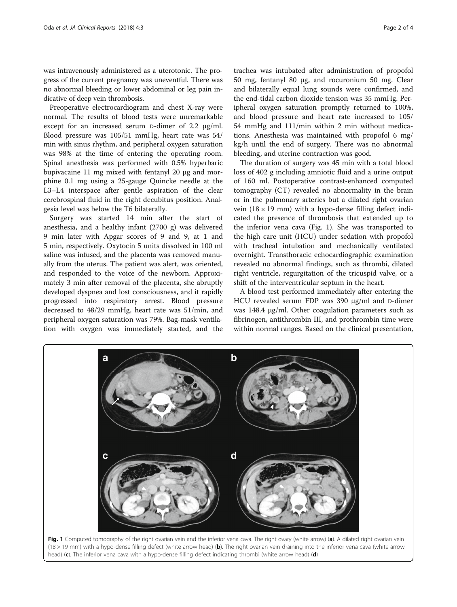was intravenously administered as a uterotonic. The progress of the current pregnancy was uneventful. There was no abnormal bleeding or lower abdominal or leg pain indicative of deep vein thrombosis.

Preoperative electrocardiogram and chest X-ray were normal. The results of blood tests were unremarkable except for an increased serum D-dimer of 2.2 μg/ml. Blood pressure was 105/51 mmHg, heart rate was 54/ min with sinus rhythm, and peripheral oxygen saturation was 98% at the time of entering the operating room. Spinal anesthesia was performed with 0.5% hyperbaric bupivacaine 11 mg mixed with fentanyl 20 μg and morphine 0.1 mg using a 25-gauge Quincke needle at the L3–L4 interspace after gentle aspiration of the clear cerebrospinal fluid in the right decubitus position. Analgesia level was below the T6 bilaterally.

Surgery was started 14 min after the start of anesthesia, and a healthy infant (2700 g) was delivered 9 min later with Apgar scores of 9 and 9, at 1 and 5 min, respectively. Oxytocin 5 units dissolved in 100 ml saline was infused, and the placenta was removed manually from the uterus. The patient was alert, was oriented, and responded to the voice of the newborn. Approximately 3 min after removal of the placenta, she abruptly developed dyspnea and lost consciousness, and it rapidly progressed into respiratory arrest. Blood pressure decreased to 48/29 mmHg, heart rate was 51/min, and peripheral oxygen saturation was 79%. Bag-mask ventilation with oxygen was immediately started, and the

trachea was intubated after administration of propofol 50 mg, fentanyl 80 μg, and rocuronium 50 mg. Clear and bilaterally equal lung sounds were confirmed, and the end-tidal carbon dioxide tension was 35 mmHg. Peripheral oxygen saturation promptly returned to 100%, and blood pressure and heart rate increased to 105/ 54 mmHg and 111/min within 2 min without medications. Anesthesia was maintained with propofol 6 mg/ kg/h until the end of surgery. There was no abnormal bleeding, and uterine contraction was good.

The duration of surgery was 45 min with a total blood loss of 402 g including amniotic fluid and a urine output of 160 ml. Postoperative contrast-enhanced computed tomography (CT) revealed no abnormality in the brain or in the pulmonary arteries but a dilated right ovarian vein  $(18 \times 19 \text{ mm})$  with a hypo-dense filling defect indicated the presence of thrombosis that extended up to the inferior vena cava (Fig. 1). She was transported to the high care unit (HCU) under sedation with propofol with tracheal intubation and mechanically ventilated overnight. Transthoracic echocardiographic examination revealed no abnormal findings, such as thrombi, dilated right ventricle, regurgitation of the tricuspid valve, or a shift of the interventricular septum in the heart.

A blood test performed immediately after entering the HCU revealed serum FDP was 390 μg/ml and D-dimer was 148.4 μg/ml. Other coagulation parameters such as fibrinogen, antithrombin III, and prothrombin time were within normal ranges. Based on the clinical presentation,

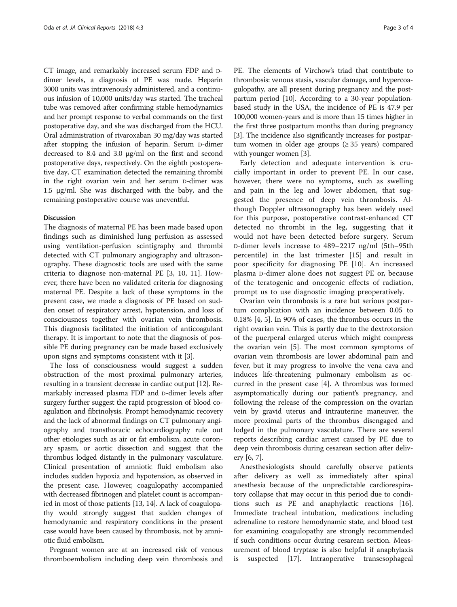CT image, and remarkably increased serum FDP and Ddimer levels, a diagnosis of PE was made. Heparin 3000 units was intravenously administered, and a continuous infusion of 10,000 units/day was started. The tracheal tube was removed after confirming stable hemodynamics and her prompt response to verbal commands on the first postoperative day, and she was discharged from the HCU. Oral administration of rivaroxaban 30 mg/day was started after stopping the infusion of heparin. Serum D-dimer decreased to 8.4 and 3.0 μg/ml on the first and second postoperative days, respectively. On the eighth postoperative day, CT examination detected the remaining thrombi in the right ovarian vein and her serum D-dimer was 1.5 μg/ml. She was discharged with the baby, and the remaining postoperative course was uneventful.

#### Discussion

The diagnosis of maternal PE has been made based upon findings such as diminished lung perfusion as assessed using ventilation-perfusion scintigraphy and thrombi detected with CT pulmonary angiography and ultrasonography. These diagnostic tools are used with the same criteria to diagnose non-maternal PE [[3](#page-3-0), [10, 11\]](#page-3-0). However, there have been no validated criteria for diagnosing maternal PE. Despite a lack of these symptoms in the present case, we made a diagnosis of PE based on sudden onset of respiratory arrest, hypotension, and loss of consciousness together with ovarian vein thrombosis. This diagnosis facilitated the initiation of anticoagulant therapy. It is important to note that the diagnosis of possible PE during pregnancy can be made based exclusively upon signs and symptoms consistent with it [\[3](#page-3-0)].

The loss of consciousness would suggest a sudden obstruction of the most proximal pulmonary arteries, resulting in a transient decrease in cardiac output [\[12\]](#page-3-0). Remarkably increased plasma FDP and D-dimer levels after surgery further suggest the rapid progression of blood coagulation and fibrinolysis. Prompt hemodynamic recovery and the lack of abnormal findings on CT pulmonary angiography and transthoracic echocardiography rule out other etiologies such as air or fat embolism, acute coronary spasm, or aortic dissection and suggest that the thrombus lodged distantly in the pulmonary vasculature. Clinical presentation of amniotic fluid embolism also includes sudden hypoxia and hypotension, as observed in the present case. However, coagulopathy accompanied with decreased fibrinogen and platelet count is accompanied in most of those patients [\[13, 14](#page-3-0)]. A lack of coagulopathy would strongly suggest that sudden changes of hemodynamic and respiratory conditions in the present case would have been caused by thrombosis, not by amniotic fluid embolism.

Pregnant women are at an increased risk of venous thromboembolism including deep vein thrombosis and

PE. The elements of Virchow's triad that contribute to thrombosis: venous stasis, vascular damage, and hypercoagulopathy, are all present during pregnancy and the postpartum period [[10](#page-3-0)]. According to a 30-year populationbased study in the USA, the incidence of PE is 47.9 per 100,000 women-years and is more than 15 times higher in the first three postpartum months than during pregnancy [[3\]](#page-3-0). The incidence also significantly increases for postpartum women in older age groups  $(≥ 35 \text{ years})$  compared with younger women [\[3](#page-3-0)].

Early detection and adequate intervention is crucially important in order to prevent PE. In our case, however, there were no symptoms, such as swelling and pain in the leg and lower abdomen, that suggested the presence of deep vein thrombosis. Although Doppler ultrasonography has been widely used for this purpose, postoperative contrast-enhanced CT detected no thrombi in the leg, suggesting that it would not have been detected before surgery. Serum D-dimer levels increase to 489–2217 ng/ml (5th–95th percentile) in the last trimester [[15\]](#page-3-0) and result in poor specificity for diagnosing PE [[10\]](#page-3-0). An increased plasma D-dimer alone does not suggest PE or, because of the teratogenic and oncogenic effects of radiation, prompt us to use diagnostic imaging preoperatively.

Ovarian vein thrombosis is a rare but serious postpartum complication with an incidence between 0.05 to 0.18% [[4, 5\]](#page-3-0). In 90% of cases, the thrombus occurs in the right ovarian vein. This is partly due to the dextrotorsion of the puerperal enlarged uterus which might compress the ovarian vein [[5\]](#page-3-0). The most common symptoms of ovarian vein thrombosis are lower abdominal pain and fever, but it may progress to involve the vena cava and induces life-threatening pulmonary embolism as occurred in the present case [[4\]](#page-3-0). A thrombus was formed asymptomatically during our patient's pregnancy, and following the release of the compression on the ovarian vein by gravid uterus and intrauterine maneuver, the more proximal parts of the thrombus disengaged and lodged in the pulmonary vasculature. There are several reports describing cardiac arrest caused by PE due to deep vein thrombosis during cesarean section after delivery [\[6](#page-3-0), [7](#page-3-0)].

Anesthesiologists should carefully observe patients after delivery as well as immediately after spinal anesthesia because of the unpredictable cardiorespiratory collapse that may occur in this period due to conditions such as PE and anaphylactic reactions [\[16](#page-3-0)]. Immediate tracheal intubation, medications including adrenaline to restore hemodynamic state, and blood test for examining coagulopathy are strongly recommended if such conditions occur during cesarean section. Measurement of blood tryptase is also helpful if anaphylaxis is suspected [[17](#page-3-0)]. Intraoperative transesophageal